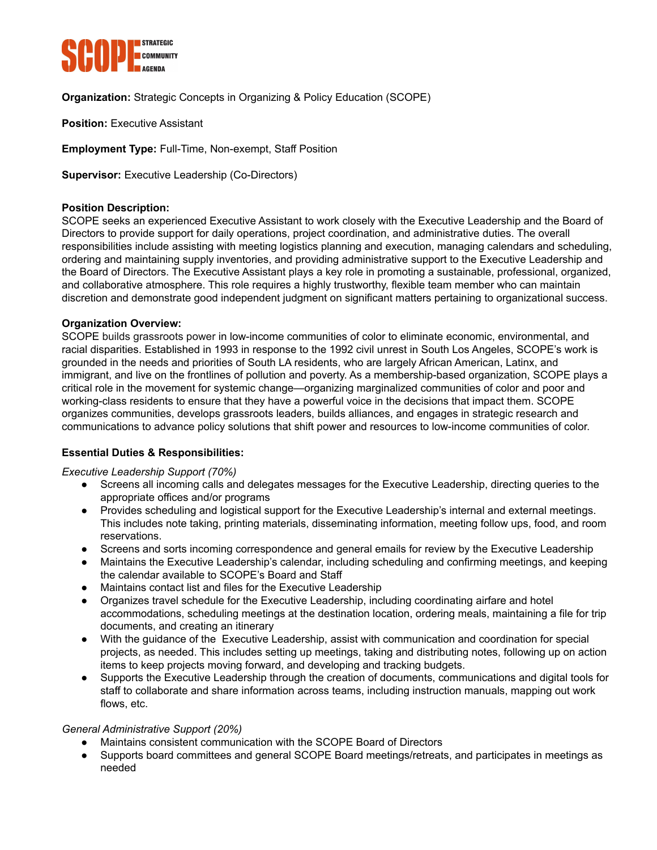

**Organization:** Strategic Concepts in Organizing & Policy Education (SCOPE)

**Position:** Executive Assistant

**Employment Type:** Full-Time, Non-exempt, Staff Position

**Supervisor:** Executive Leadership (Co-Directors)

# **Position Description:**

SCOPE seeks an experienced Executive Assistant to work closely with the Executive Leadership and the Board of Directors to provide support for daily operations, project coordination, and administrative duties. The overall responsibilities include assisting with meeting logistics planning and execution, managing calendars and scheduling, ordering and maintaining supply inventories, and providing administrative support to the Executive Leadership and the Board of Directors. The Executive Assistant plays a key role in promoting a sustainable, professional, organized, and collaborative atmosphere. This role requires a highly trustworthy, flexible team member who can maintain discretion and demonstrate good independent judgment on significant matters pertaining to organizational success.

### **Organization Overview:**

SCOPE builds grassroots power in low-income communities of color to eliminate economic, environmental, and racial disparities. Established in 1993 in response to the 1992 civil unrest in South Los Angeles, SCOPE's work is grounded in the needs and priorities of South LA residents, who are largely African American, Latinx, and immigrant, and live on the frontlines of pollution and poverty. As a membership-based organization, SCOPE plays a critical role in the movement for systemic change—organizing marginalized communities of color and poor and working-class residents to ensure that they have a powerful voice in the decisions that impact them. SCOPE organizes communities, develops grassroots leaders, builds alliances, and engages in strategic research and communications to advance policy solutions that shift power and resources to low-income communities of color.

# **Essential Duties & Responsibilities:**

### *Executive Leadership Support (70%)*

- Screens all incoming calls and delegates messages for the Executive Leadership, directing queries to the appropriate offices and/or programs
- Provides scheduling and logistical support for the Executive Leadership's internal and external meetings. This includes note taking, printing materials, disseminating information, meeting follow ups, food, and room reservations.
- Screens and sorts incoming correspondence and general emails for review by the Executive Leadership
- Maintains the Executive Leadership's calendar, including scheduling and confirming meetings, and keeping the calendar available to SCOPE's Board and Staff
- Maintains contact list and files for the Executive Leadership
- Organizes travel schedule for the Executive Leadership, including coordinating airfare and hotel accommodations, scheduling meetings at the destination location, ordering meals, maintaining a file for trip documents, and creating an itinerary
- With the guidance of the Executive Leadership, assist with communication and coordination for special projects, as needed. This includes setting up meetings, taking and distributing notes, following up on action items to keep projects moving forward, and developing and tracking budgets.
- Supports the Executive Leadership through the creation of documents, communications and digital tools for staff to collaborate and share information across teams, including instruction manuals, mapping out work flows, etc.

### *General Administrative Support (20%)*

- Maintains consistent communication with the SCOPE Board of Directors
- Supports board committees and general SCOPE Board meetings/retreats, and participates in meetings as needed